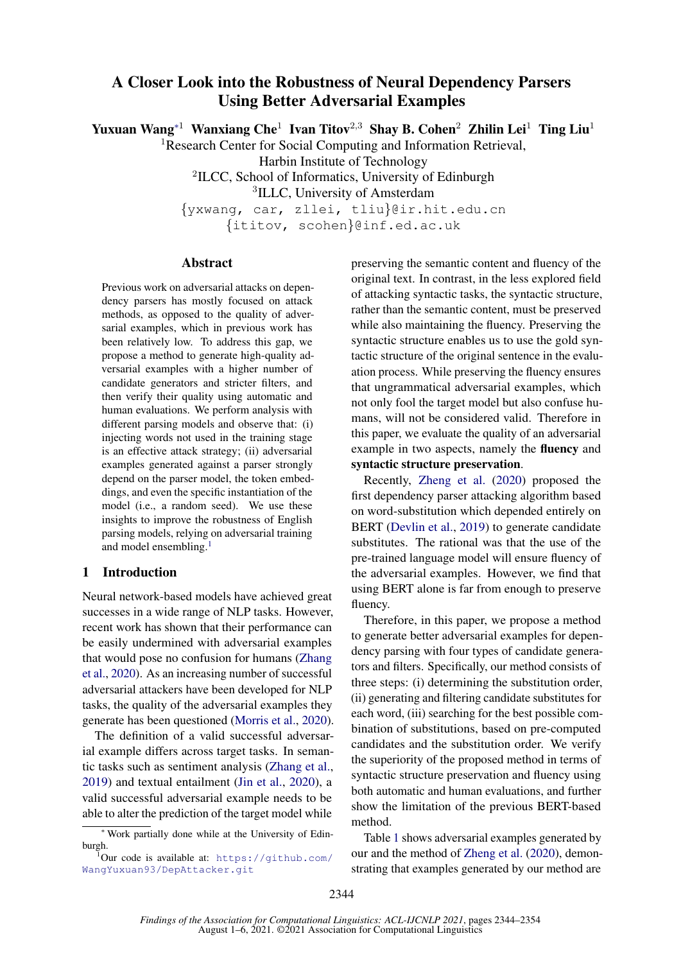# A Closer Look into the Robustness of Neural Dependency Parsers Using Better Adversarial Examples

Yuxuan Wang<sup>∗1</sup> Wanxiang Che<sup>1</sup> Ivan Titov<sup>2,3</sup> Shay B. Cohen<sup>2</sup> Zhilin Lei<sup>1</sup> Ting Liu<sup>1</sup>

<sup>1</sup>Research Center for Social Computing and Information Retrieval,

Harbin Institute of Technology

<sup>2</sup>ILCC, School of Informatics, University of Edinburgh

<sup>3</sup>ILLC, University of Amsterdam

{yxwang, car, zllei, tliu}@ir.hit.edu.cn

{ititov, scohen}@inf.ed.ac.uk

#### Abstract

Previous work on adversarial attacks on dependency parsers has mostly focused on attack methods, as opposed to the quality of adversarial examples, which in previous work has been relatively low. To address this gap, we propose a method to generate high-quality adversarial examples with a higher number of candidate generators and stricter filters, and then verify their quality using automatic and human evaluations. We perform analysis with different parsing models and observe that: (i) injecting words not used in the training stage is an effective attack strategy; (ii) adversarial examples generated against a parser strongly depend on the parser model, the token embeddings, and even the specific instantiation of the model (i.e., a random seed). We use these insights to improve the robustness of English parsing models, relying on adversarial training and model ensembling.<sup>[1](#page-0-0)</sup>

### 1 Introduction

Neural network-based models have achieved great successes in a wide range of NLP tasks. However, recent work has shown that their performance can be easily undermined with adversarial examples that would pose no confusion for humans [\(Zhang](#page-9-0) [et al.,](#page-9-0) [2020\)](#page-9-0). As an increasing number of successful adversarial attackers have been developed for NLP tasks, the quality of the adversarial examples they generate has been questioned [\(Morris et al.,](#page-9-1) [2020\)](#page-9-1).

The definition of a valid successful adversarial example differs across target tasks. In semantic tasks such as sentiment analysis [\(Zhang et al.,](#page-9-2) [2019\)](#page-9-2) and textual entailment [\(Jin et al.,](#page-9-3) [2020\)](#page-9-3), a valid successful adversarial example needs to be able to alter the prediction of the target model while

preserving the semantic content and fluency of the original text. In contrast, in the less explored field of attacking syntactic tasks, the syntactic structure, rather than the semantic content, must be preserved while also maintaining the fluency. Preserving the syntactic structure enables us to use the gold syntactic structure of the original sentence in the evaluation process. While preserving the fluency ensures that ungrammatical adversarial examples, which not only fool the target model but also confuse humans, will not be considered valid. Therefore in this paper, we evaluate the quality of an adversarial example in two aspects, namely the fluency and syntactic structure preservation.

Recently, [Zheng et al.](#page-10-0) [\(2020\)](#page-10-0) proposed the first dependency parser attacking algorithm based on word-substitution which depended entirely on BERT [\(Devlin et al.,](#page-8-0) [2019\)](#page-8-0) to generate candidate substitutes. The rational was that the use of the pre-trained language model will ensure fluency of the adversarial examples. However, we find that using BERT alone is far from enough to preserve fluency.

Therefore, in this paper, we propose a method to generate better adversarial examples for dependency parsing with four types of candidate generators and filters. Specifically, our method consists of three steps: (i) determining the substitution order, (ii) generating and filtering candidate substitutes for each word, (iii) searching for the best possible combination of substitutions, based on pre-computed candidates and the substitution order. We verify the superiority of the proposed method in terms of syntactic structure preservation and fluency using both automatic and human evaluations, and further show the limitation of the previous BERT-based method.

Table [1](#page-1-0) shows adversarial examples generated by our and the method of [Zheng et al.](#page-10-0) [\(2020\)](#page-10-0), demonstrating that examples generated by our method are

<sup>∗</sup> Work partially done while at the University of Edinburgh.

<span id="page-0-0"></span> $1$ Our code is available at: [https://github.com/](https://github.com/WangYuxuan93/DepAttacker.git) [WangYuxuan93/DepAttacker.git](https://github.com/WangYuxuan93/DepAttacker.git)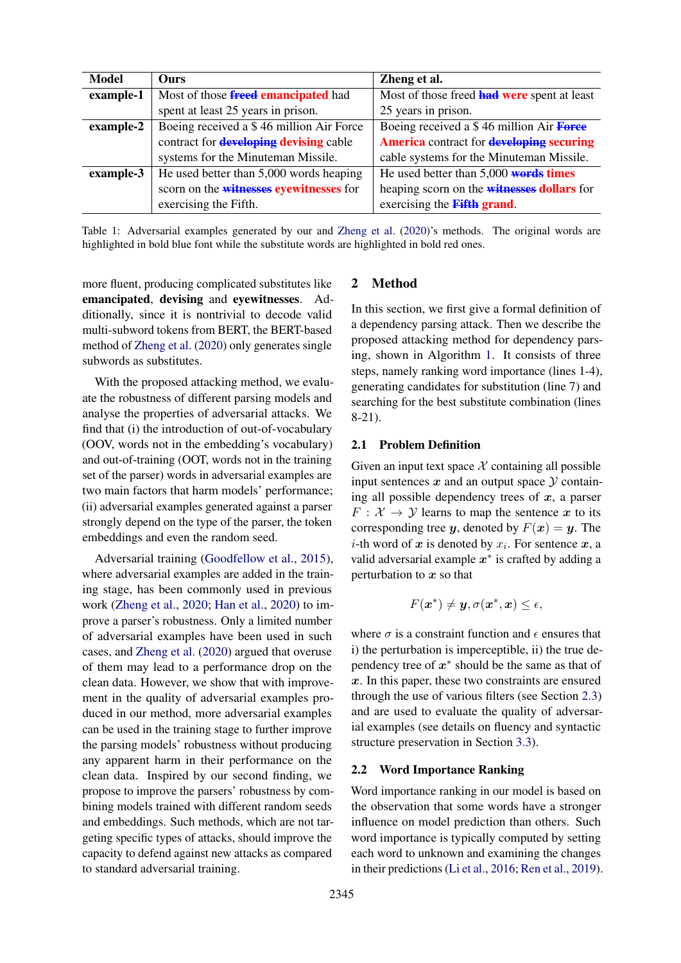<span id="page-1-0"></span>

| Model     | <b>Ours</b>                                   | Zheng et al.                                           |
|-----------|-----------------------------------------------|--------------------------------------------------------|
| example-1 | Most of those <b>freed emancipated</b> had    | Most of those freed <b>had were</b> spent at least     |
|           | spent at least 25 years in prison.            | 25 years in prison.                                    |
| example-2 | Boeing received a \$46 million Air Force      | Boeing received a \$46 million Air Force               |
|           | contract for <b>developing devising</b> cable | <b>America</b> contract for <b>developing</b> securing |
|           | systems for the Minuteman Missile.            | cable systems for the Minuteman Missile.               |
| example-3 | He used better than 5,000 words heaping       | He used better than $5,000$ words times                |
|           | scorn on the witnesses eyewitnesses for       | heaping scorn on the <b>witnesses dollars</b> for      |
|           | exercising the Fifth.                         | exercising the Fifth grand.                            |

Table 1: Adversarial examples generated by our and [Zheng et al.](#page-10-0) [\(2020\)](#page-10-0)'s methods. The original words are highlighted in bold blue font while the substitute words are highlighted in bold red ones.

more fluent, producing complicated substitutes like emancipated, devising and eyewitnesses. Additionally, since it is nontrivial to decode valid multi-subword tokens from BERT, the BERT-based method of [Zheng et al.](#page-10-0) [\(2020\)](#page-10-0) only generates single subwords as substitutes.

With the proposed attacking method, we evaluate the robustness of different parsing models and analyse the properties of adversarial attacks. We find that (i) the introduction of out-of-vocabulary (OOV, words not in the embedding's vocabulary) and out-of-training (OOT, words not in the training set of the parser) words in adversarial examples are two main factors that harm models' performance; (ii) adversarial examples generated against a parser strongly depend on the type of the parser, the token embeddings and even the random seed.

Adversarial training [\(Goodfellow et al.,](#page-8-1) [2015\)](#page-8-1), where adversarial examples are added in the training stage, has been commonly used in previous work [\(Zheng et al.,](#page-10-0) [2020;](#page-10-0) [Han et al.,](#page-9-4) [2020\)](#page-9-4) to improve a parser's robustness. Only a limited number of adversarial examples have been used in such cases, and [Zheng et al.](#page-10-0) [\(2020\)](#page-10-0) argued that overuse of them may lead to a performance drop on the clean data. However, we show that with improvement in the quality of adversarial examples produced in our method, more adversarial examples can be used in the training stage to further improve the parsing models' robustness without producing any apparent harm in their performance on the clean data. Inspired by our second finding, we propose to improve the parsers' robustness by combining models trained with different random seeds and embeddings. Such methods, which are not targeting specific types of attacks, should improve the capacity to defend against new attacks as compared to standard adversarial training.

# 2 Method

In this section, we first give a formal definition of a dependency parsing attack. Then we describe the proposed attacking method for dependency parsing, shown in Algorithm [1.](#page-2-0) It consists of three steps, namely ranking word importance (lines 1-4), generating candidates for substitution (line 7) and searching for the best substitute combination (lines 8-21).

#### <span id="page-1-1"></span>2.1 Problem Definition

Given an input text space  $X$  containing all possible input sentences  $x$  and an output space  $\mathcal Y$  containing all possible dependency trees of  $x$ , a parser  $F: \mathcal{X} \to \mathcal{Y}$  learns to map the sentence x to its corresponding tree y, denoted by  $F(x) = y$ . The *i*-th word of  $x$  is denoted by  $x_i$ . For sentence  $x$ , a valid adversarial example  $x^*$  is crafted by adding a perturbation to  $x$  so that

$$
F(\boldsymbol{x}^*) \neq \boldsymbol{y}, \sigma(\boldsymbol{x}^*, \boldsymbol{x}) \leq \epsilon,
$$

where  $\sigma$  is a constraint function and  $\epsilon$  ensures that i) the perturbation is imperceptible, ii) the true dependency tree of  $x^*$  should be the same as that of  $x$ . In this paper, these two constraints are ensured through the use of various filters (see Section [2.3\)](#page-2-1) and are used to evaluate the quality of adversarial examples (see details on fluency and syntactic structure preservation in Section [3.3\)](#page-4-0).

### 2.2 Word Importance Ranking

Word importance ranking in our model is based on the observation that some words have a stronger influence on model prediction than others. Such word importance is typically computed by setting each word to unknown and examining the changes in their predictions [\(Li et al.,](#page-9-5) [2016;](#page-9-5) [Ren et al.,](#page-9-6) [2019\)](#page-9-6).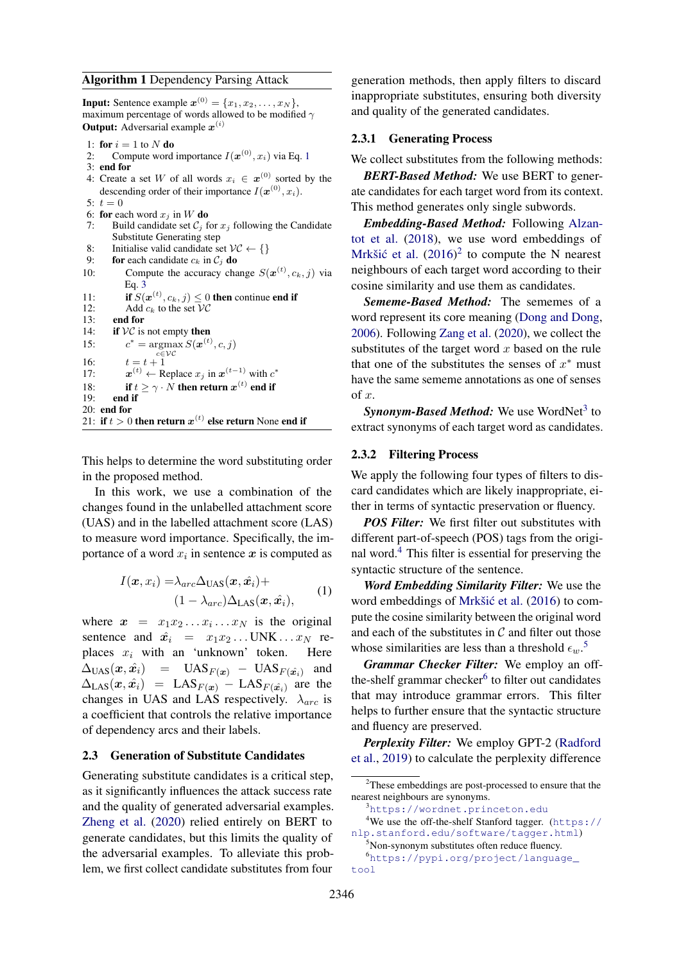#### <span id="page-2-0"></span>Algorithm 1 Dependency Parsing Attack

**Input:** Sentence example  $\mathbf{x}^{(0)} = \{x_1, x_2, \dots, x_N\},\$ maximum percentage of words allowed to be modified  $\gamma$ **Output:** Adversarial example  $x^{(i)}$ 

- 1: for  $i = 1$  to N do
- 2: Compute word importance  $I(\boldsymbol{x}^{(0)}, x_i)$  via Eq. [1](#page-2-2)
- 3: end for
- 4: Create a set W of all words  $x_i \in \mathbf{x}^{(0)}$  sorted by the descending order of their importance  $I(\boldsymbol{x}^{(0)}, x_i)$ .

```
5: t = 0
```

```
6: for each word x_i in W do
```
- 7: Build candidate set  $C_j$  for  $x_j$  following the Candidate Substitute Generating step
- 8: Initialise valid candidate set  $\mathcal{VC} \leftarrow \{\}$
- 9: for each candidate  $c_k$  in  $C_i$  do 10: Compute the accuracy change  $S(\boldsymbol{x}^{(t)}, c_k, j)$  via Eq. [3](#page-3-0) 11: **if**  $S(\mathbf{x}^{(t)}, c_k, j) \leq 0$  then continue end if
	-

```
12: Add c_k to the set VC<br>13: end for
```

```
13: end for 14: if VC is
        if VC is not empty then
```

```
15:s^* = \operatorname{argmax} S(\boldsymbol{x}^{(t)}, c, j)
```

```
c \in \mathcal{VC}16: t = t + 1
```

```
17:<sup>(t)</sup> ← Replace x_j in \boldsymbol{x}^{(t-1)} with c^*
```

```
18: if t \ge \gamma \cdot N then return x^{(t)} end if
```

```
19: end if
```
20: end for 21: if  $t > 0$  then return  $x^{(t)}$  else return None end if

This helps to determine the word substituting order in the proposed method.

In this work, we use a combination of the changes found in the unlabelled attachment score (UAS) and in the labelled attachment score (LAS) to measure word importance. Specifically, the importance of a word  $x_i$  in sentence  $x$  is computed as

<span id="page-2-2"></span>
$$
I(\boldsymbol{x}, x_i) = \lambda_{arc} \Delta_{\text{UAS}}(\boldsymbol{x}, \hat{\boldsymbol{x}_i}) +
$$
  

$$
(1 - \lambda_{arc}) \Delta_{\text{LAS}}(\boldsymbol{x}, \hat{\boldsymbol{x}_i}),
$$
 (1)

where  $x = x_1 x_2 \dots x_i \dots x_N$  is the original sentence and  $\hat{x}_i = x_1 x_2 \dots \text{UNK} \dots x_N$  replaces  $x_i$  with an 'unknown' token. Here  $\Delta_{\text{UAS}}(x, \hat{x}_i)$  =  $\text{UAS}_{F(x_i)}$  –  $\text{UAS}_{F(\hat{x}_i)}$  and  $\Delta_{\text{LAS}}(x, \hat{x}_i)$  = LAS<sub>F(x)</sub> – LAS<sub>F(xi)</sub> are the changes in UAS and LAS respectively.  $\lambda_{arc}$  is a coefficient that controls the relative importance of dependency arcs and their labels.

### <span id="page-2-1"></span>2.3 Generation of Substitute Candidates

Generating substitute candidates is a critical step, as it significantly influences the attack success rate and the quality of generated adversarial examples. [Zheng et al.](#page-10-0) [\(2020\)](#page-10-0) relied entirely on BERT to generate candidates, but this limits the quality of the adversarial examples. To alleviate this problem, we first collect candidate substitutes from four

generation methods, then apply filters to discard inappropriate substitutes, ensuring both diversity and quality of the generated candidates.

### 2.3.1 Generating Process

We collect substitutes from the following methods:

*BERT-Based Method:* We use BERT to generate candidates for each target word from its context. This method generates only single subwords.

*Embedding-Based Method:* Following [Alzan](#page-8-2)[tot et al.](#page-8-2) [\(2018\)](#page-8-2), we use word embeddings of Mrkšić et al.  $(2016)^2$  $(2016)^2$  $(2016)^2$  to compute the N nearest neighbours of each target word according to their cosine similarity and use them as candidates.

*Sememe-Based Method:* The sememes of a word represent its core meaning [\(Dong and Dong,](#page-8-3) [2006\)](#page-8-3). Following [Zang et al.](#page-9-8) [\(2020\)](#page-9-8), we collect the substitutes of the target word  $x$  based on the rule that one of the substitutes the senses of  $x^*$  must have the same sememe annotations as one of senses of x.

Synonym-Based Method: We use WordNet<sup>[3](#page-2-4)</sup> to extract synonyms of each target word as candidates.

### 2.3.2 Filtering Process

We apply the following four types of filters to discard candidates which are likely inappropriate, either in terms of syntactic preservation or fluency.

*POS Filter:* We first filter out substitutes with different part-of-speech (POS) tags from the original word. $4$  This filter is essential for preserving the syntactic structure of the sentence.

*Word Embedding Similarity Filter:* We use the word embeddings of Mrkšić et al. [\(2016\)](#page-9-7) to compute the cosine similarity between the original word and each of the substitutes in  $\mathcal C$  and filter out those whose similarities are less than a threshold  $\epsilon_w$ .<sup>[5](#page-2-6)</sup>

*Grammar Checker Filter:* We employ an off-the-shelf grammar checker<sup>[6](#page-2-7)</sup> to filter out candidates that may introduce grammar errors. This filter helps to further ensure that the syntactic structure and fluency are preserved.

*Perplexity Filter:* We employ GPT-2 [\(Radford](#page-9-9) [et al.,](#page-9-9) [2019\)](#page-9-9) to calculate the perplexity difference

<span id="page-2-5"></span><span id="page-2-4"></span><sup>3</sup><https://wordnet.princeton.edu>

```
https://
nlp.stanford.edu/software/tagger.html)
```

```
<sup>5</sup>Non-synonym substitutes often reduce fluency.
6https://pypi.org/project/language_
```

```
tool
```
<span id="page-2-3"></span><sup>2</sup>These embeddings are post-processed to ensure that the nearest neighbours are synonyms.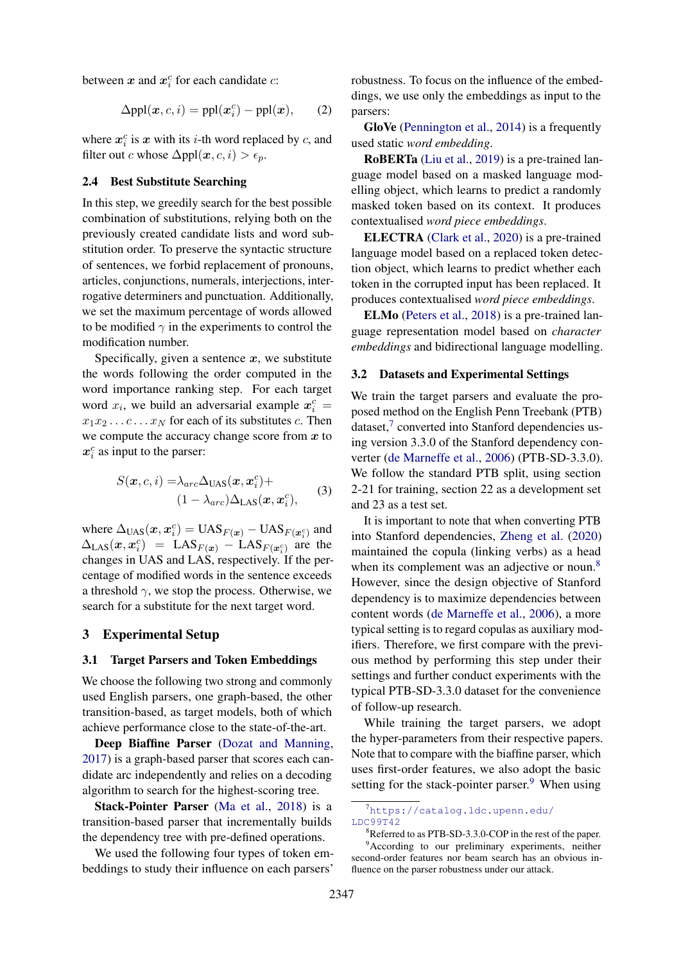between  $x$  and  $x_i^c$  for each candidate  $c$ :

$$
\Delta \text{ppl}(x, c, i) = \text{ppl}(x_i^c) - \text{ppl}(x), \qquad (2)
$$

where  $x_i^c$  is  $x$  with its *i*-th word replaced by *c*, and filter out c whose  $\Delta ppl(x, c, i) > \epsilon_p$ .

### 2.4 Best Substitute Searching

In this step, we greedily search for the best possible combination of substitutions, relying both on the previously created candidate lists and word substitution order. To preserve the syntactic structure of sentences, we forbid replacement of pronouns, articles, conjunctions, numerals, interjections, interrogative determiners and punctuation. Additionally, we set the maximum percentage of words allowed to be modified  $\gamma$  in the experiments to control the modification number.

Specifically, given a sentence  $x$ , we substitute the words following the order computed in the word importance ranking step. For each target word  $x_i$ , we build an adversarial example  $x_i^c$  =  $x_1x_2 \ldots c \ldots x_N$  for each of its substitutes c. Then we compute the accuracy change score from  $x$  to  $x_i^c$  as input to the parser:

<span id="page-3-0"></span>
$$
S(\boldsymbol{x}, c, i) = \lambda_{arc} \Delta_{\text{UAS}}(\boldsymbol{x}, \boldsymbol{x}_i^c) +
$$
  

$$
(1 - \lambda_{arc}) \Delta_{\text{LAS}}(\boldsymbol{x}, \boldsymbol{x}_i^c),
$$
 (3)

where  $\Delta_{\text{UAS}}(x, x_i^c) = \text{UAS}_{F(x)} - \text{UAS}_{F(x_i^c)}$  and  $\Delta_{\text{LAS}}(x, x_i^c)$  = LAS<sub>F(x)</sub> – LAS<sub>F(x<sup>c</sup>)</sub> are the changes in UAS and LAS, respectively. If the percentage of modified words in the sentence exceeds a threshold  $\gamma$ , we stop the process. Otherwise, we search for a substitute for the next target word.

### 3 Experimental Setup

#### <span id="page-3-4"></span>3.1 Target Parsers and Token Embeddings

We choose the following two strong and commonly used English parsers, one graph-based, the other transition-based, as target models, both of which achieve performance close to the state-of-the-art.

Deep Biaffine Parser [\(Dozat and Manning,](#page-8-4) [2017\)](#page-8-4) is a graph-based parser that scores each candidate arc independently and relies on a decoding algorithm to search for the highest-scoring tree.

Stack-Pointer Parser [\(Ma et al.,](#page-9-10) [2018\)](#page-9-10) is a transition-based parser that incrementally builds the dependency tree with pre-defined operations.

We used the following four types of token embeddings to study their influence on each parsers'

robustness. To focus on the influence of the embeddings, we use only the embeddings as input to the parsers:

GloVe [\(Pennington et al.,](#page-9-11) [2014\)](#page-9-11) is a frequently used static *word embedding*.

RoBERTa [\(Liu et al.,](#page-9-12) [2019\)](#page-9-12) is a pre-trained language model based on a masked language modelling object, which learns to predict a randomly masked token based on its context. It produces contextualised *word piece embeddings*.

ELECTRA [\(Clark et al.,](#page-8-5) [2020\)](#page-8-5) is a pre-trained language model based on a replaced token detection object, which learns to predict whether each token in the corrupted input has been replaced. It produces contextualised *word piece embeddings*.

ELMo [\(Peters et al.,](#page-9-13) [2018\)](#page-9-13) is a pre-trained language representation model based on *character embeddings* and bidirectional language modelling.

#### 3.2 Datasets and Experimental Settings

We train the target parsers and evaluate the proposed method on the English Penn Treebank (PTB) dataset,<sup>[7](#page-3-1)</sup> converted into Stanford dependencies using version 3.3.0 of the Stanford dependency converter [\(de Marneffe et al.,](#page-9-14) [2006\)](#page-9-14) (PTB-SD-3.3.0). We follow the standard PTB split, using section 2-21 for training, section 22 as a development set and 23 as a test set.

It is important to note that when converting PTB into Stanford dependencies, [Zheng et al.](#page-10-0) [\(2020\)](#page-10-0) maintained the copula (linking verbs) as a head when its complement was an adjective or noun.<sup>[8](#page-3-2)</sup> However, since the design objective of Stanford dependency is to maximize dependencies between content words [\(de Marneffe et al.,](#page-9-14) [2006\)](#page-9-14), a more typical setting is to regard copulas as auxiliary modifiers. Therefore, we first compare with the previous method by performing this step under their settings and further conduct experiments with the typical PTB-SD-3.3.0 dataset for the convenience of follow-up research.

While training the target parsers, we adopt the hyper-parameters from their respective papers. Note that to compare with the biaffine parser, which uses first-order features, we also adopt the basic setting for the stack-pointer parser.<sup>[9](#page-3-3)</sup> When using

<span id="page-3-1"></span><sup>7</sup>[https://catalog.ldc.upenn.edu/](https://catalog.ldc.upenn.edu/LDC99T42) [LDC99T42](https://catalog.ldc.upenn.edu/LDC99T42)

<span id="page-3-3"></span><span id="page-3-2"></span><sup>&</sup>lt;sup>8</sup>Referred to as PTB-SD-3.3.0-COP in the rest of the paper. <sup>9</sup>According to our preliminary experiments, neither second-order features nor beam search has an obvious influence on the parser robustness under our attack.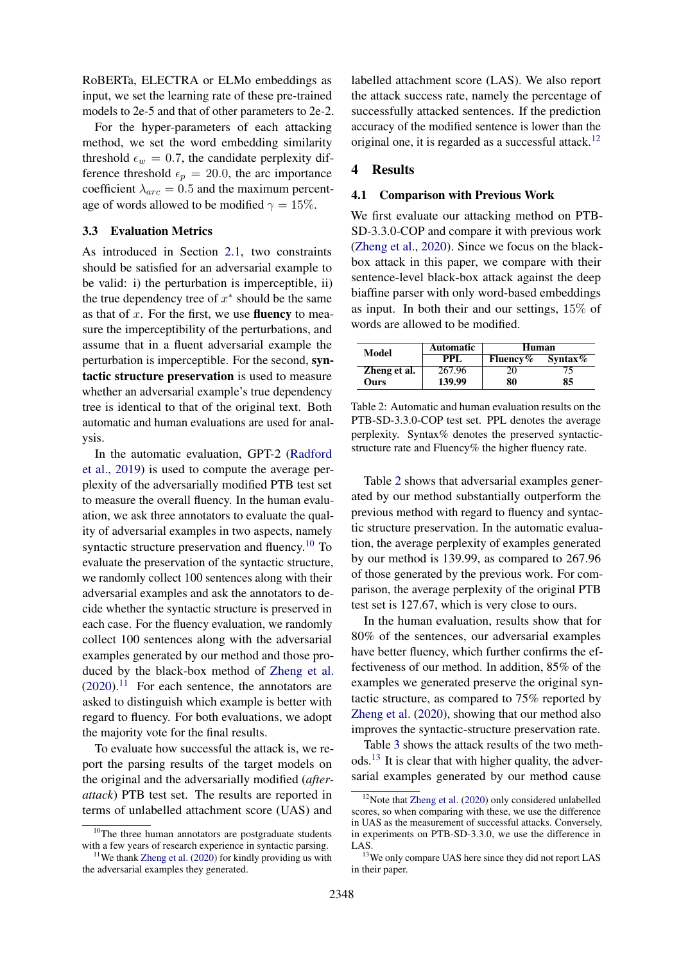RoBERTa, ELECTRA or ELMo embeddings as input, we set the learning rate of these pre-trained models to 2e-5 and that of other parameters to 2e-2.

For the hyper-parameters of each attacking method, we set the word embedding similarity threshold  $\epsilon_w = 0.7$ , the candidate perplexity difference threshold  $\epsilon_p = 20.0$ , the arc importance coefficient  $\lambda_{arc} = 0.5$  and the maximum percentage of words allowed to be modified  $\gamma = 15\%$ .

#### <span id="page-4-0"></span>3.3 Evaluation Metrics

As introduced in Section [2.1,](#page-1-1) two constraints should be satisfied for an adversarial example to be valid: i) the perturbation is imperceptible, ii) the true dependency tree of  $x^*$  should be the same as that of  $x$ . For the first, we use **fluency** to measure the imperceptibility of the perturbations, and assume that in a fluent adversarial example the perturbation is imperceptible. For the second, syntactic structure preservation is used to measure whether an adversarial example's true dependency tree is identical to that of the original text. Both automatic and human evaluations are used for analysis.

In the automatic evaluation, GPT-2 [\(Radford](#page-9-9) [et al.,](#page-9-9) [2019\)](#page-9-9) is used to compute the average perplexity of the adversarially modified PTB test set to measure the overall fluency. In the human evaluation, we ask three annotators to evaluate the quality of adversarial examples in two aspects, namely syntactic structure preservation and fluency.<sup>[10](#page-4-1)</sup> To evaluate the preservation of the syntactic structure, we randomly collect 100 sentences along with their adversarial examples and ask the annotators to decide whether the syntactic structure is preserved in each case. For the fluency evaluation, we randomly collect 100 sentences along with the adversarial examples generated by our method and those produced by the black-box method of [Zheng et al.](#page-10-0)  $(2020).$  $(2020).$ <sup>[11](#page-4-2)</sup> For each sentence, the annotators are asked to distinguish which example is better with regard to fluency. For both evaluations, we adopt the majority vote for the final results.

To evaluate how successful the attack is, we report the parsing results of the target models on the original and the adversarially modified (*afterattack*) PTB test set. The results are reported in terms of unlabelled attachment score (UAS) and

labelled attachment score (LAS). We also report the attack success rate, namely the percentage of successfully attacked sentences. If the prediction accuracy of the modified sentence is lower than the original one, it is regarded as a successful attack.<sup>[12](#page-4-3)</sup>

### 4 Results

#### 4.1 Comparison with Previous Work

We first evaluate our attacking method on PTB-SD-3.3.0-COP and compare it with previous work [\(Zheng et al.,](#page-10-0) [2020\)](#page-10-0). Since we focus on the blackbox attack in this paper, we compare with their sentence-level black-box attack against the deep biaffine parser with only word-based embeddings as input. In both their and our settings, 15% of words are allowed to be modified.

<span id="page-4-4"></span>

| Model        | <b>Automatic</b> | Human            |            |
|--------------|------------------|------------------|------------|
|              | PPL.             | <b>Fluency</b> % | Syntax $%$ |
| Zheng et al. | 267.96           | 20               |            |
| Ours         | 139.99           | 80               | 85         |

Table 2: Automatic and human evaluation results on the PTB-SD-3.3.0-COP test set. PPL denotes the average perplexity. Syntax% denotes the preserved syntacticstructure rate and Fluency% the higher fluency rate.

Table [2](#page-4-4) shows that adversarial examples generated by our method substantially outperform the previous method with regard to fluency and syntactic structure preservation. In the automatic evaluation, the average perplexity of examples generated by our method is 139.99, as compared to 267.96 of those generated by the previous work. For comparison, the average perplexity of the original PTB test set is 127.67, which is very close to ours.

In the human evaluation, results show that for 80% of the sentences, our adversarial examples have better fluency, which further confirms the effectiveness of our method. In addition, 85% of the examples we generated preserve the original syntactic structure, as compared to 75% reported by [Zheng et al.](#page-10-0) [\(2020\)](#page-10-0), showing that our method also improves the syntactic-structure preservation rate.

Table [3](#page-5-0) shows the attack results of the two methods.[13](#page-4-5) It is clear that with higher quality, the adversarial examples generated by our method cause

<span id="page-4-1"></span><sup>&</sup>lt;sup>10</sup>The three human annotators are postgraduate students with a few years of research experience in syntactic parsing.

<span id="page-4-2"></span> $11$ We thank [Zheng et al.](#page-10-0) [\(2020\)](#page-10-0) for kindly providing us with the adversarial examples they generated.

<span id="page-4-3"></span> $12$ Note that [Zheng et al.](#page-10-0) [\(2020\)](#page-10-0) only considered unlabelled scores, so when comparing with these, we use the difference in UAS as the measurement of successful attacks. Conversely, in experiments on PTB-SD-3.3.0, we use the difference in LAS.

<span id="page-4-5"></span><sup>&</sup>lt;sup>13</sup>We only compare UAS here since they did not report LAS in their paper.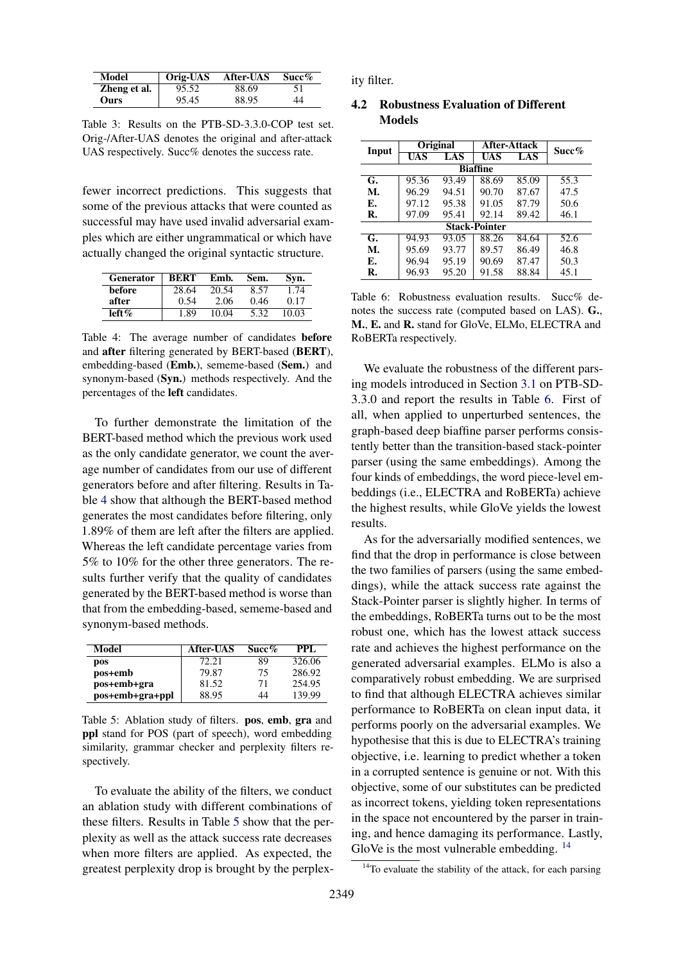<span id="page-5-0"></span>

| Model        | Orig-UAS | <b>After-UAS</b> | Succ% |
|--------------|----------|------------------|-------|
| Zheng et al. | 95.52    | 88.69            | 51    |
| Ours         | 95.45    | 88.95            | 44    |

Table 3: Results on the PTB-SD-3.3.0-COP test set. Orig-/After-UAS denotes the original and after-attack UAS respectively. Succ% denotes the success rate.

fewer incorrect predictions. This suggests that some of the previous attacks that were counted as successful may have used invalid adversarial examples which are either ungrammatical or which have actually changed the original syntactic structure.

<span id="page-5-1"></span>

| <b>Generator</b> | <b>BERT</b> | Emb.  | Sem. | Svn.  |
|------------------|-------------|-------|------|-------|
| before           | 28.64       | 20.54 | 8.57 | 1.74  |
| after            | 0.54        | 2.06  | 0.46 | 0.17  |
| left $\%$        | 1.89        | 10.04 | 5.32 | 10.03 |

Table 4: The average number of candidates before and after filtering generated by BERT-based (BERT), embedding-based (Emb.), sememe-based (Sem.) and synonym-based (Syn.) methods respectively. And the percentages of the left candidates.

To further demonstrate the limitation of the BERT-based method which the previous work used as the only candidate generator, we count the average number of candidates from our use of different generators before and after filtering. Results in Table [4](#page-5-1) show that although the BERT-based method generates the most candidates before filtering, only 1.89% of them are left after the filters are applied. Whereas the left candidate percentage varies from 5% to 10% for the other three generators. The results further verify that the quality of candidates generated by the BERT-based method is worse than that from the embedding-based, sememe-based and synonym-based methods.

<span id="page-5-2"></span>

| Model           | <b>After-UAS</b> | Succ% | PPL.   |
|-----------------|------------------|-------|--------|
| pos             | 72.21            | 89    | 326.06 |
| pos+emb         | 79.87            | 75    | 286.92 |
| pos+emb+gra     | 81.52            | 71    | 254.95 |
| pos+emb+gra+ppl | 88.95            | 44    | 139.99 |

Table 5: Ablation study of filters. pos, emb, gra and ppl stand for POS (part of speech), word embedding similarity, grammar checker and perplexity filters respectively.

To evaluate the ability of the filters, we conduct an ablation study with different combinations of these filters. Results in Table [5](#page-5-2) show that the perplexity as well as the attack success rate decreases when more filters are applied. As expected, the greatest perplexity drop is brought by the perplexity filter.

### 4.2 Robustness Evaluation of Different Models

<span id="page-5-3"></span>

| Input                |       | Original |            | <b>After-Attack</b> |       |  |  |  |  |
|----------------------|-------|----------|------------|---------------------|-------|--|--|--|--|
|                      | UAS   | LAS      | <b>UAS</b> | LAS                 | Succ% |  |  |  |  |
| <b>Biaffine</b>      |       |          |            |                     |       |  |  |  |  |
| G.                   | 95.36 | 93.49    | 88.69      | 85.09               | 55.3  |  |  |  |  |
| M.                   | 96.29 | 94.51    | 90.70      | 87.67               | 47.5  |  |  |  |  |
| Е.                   | 97.12 | 95.38    | 91.05      | 87.79               | 50.6  |  |  |  |  |
| R.                   | 97.09 | 95.41    | 92.14      | 89.42               | 46.1  |  |  |  |  |
| <b>Stack-Pointer</b> |       |          |            |                     |       |  |  |  |  |
| G.                   | 94.93 | 93.05    | 88.26      | 84.64               | 52.6  |  |  |  |  |
| M.                   | 95.69 | 93.77    | 89.57      | 86.49               | 46.8  |  |  |  |  |
| Е.                   | 96.94 | 95.19    | 90.69      | 87.47               | 50.3  |  |  |  |  |
| R.                   | 96.93 | 95.20    | 91.58      | 88.84               | 45.1  |  |  |  |  |

Table 6: Robustness evaluation results. Succ% denotes the success rate (computed based on LAS). G., M., E. and R. stand for GloVe, ELMo, ELECTRA and RoBERTa respectively.

We evaluate the robustness of the different parsing models introduced in Section [3.1](#page-3-4) on PTB-SD-3.3.0 and report the results in Table [6.](#page-5-3) First of all, when applied to unperturbed sentences, the graph-based deep biaffine parser performs consistently better than the transition-based stack-pointer parser (using the same embeddings). Among the four kinds of embeddings, the word piece-level embeddings (i.e., ELECTRA and RoBERTa) achieve the highest results, while GloVe yields the lowest results.

As for the adversarially modified sentences, we find that the drop in performance is close between the two families of parsers (using the same embeddings), while the attack success rate against the Stack-Pointer parser is slightly higher. In terms of the embeddings, RoBERTa turns out to be the most robust one, which has the lowest attack success rate and achieves the highest performance on the generated adversarial examples. ELMo is also a comparatively robust embedding. We are surprised to find that although ELECTRA achieves similar performance to RoBERTa on clean input data, it performs poorly on the adversarial examples. We hypothesise that this is due to ELECTRA's training objective, i.e. learning to predict whether a token in a corrupted sentence is genuine or not. With this objective, some of our substitutes can be predicted as incorrect tokens, yielding token representations in the space not encountered by the parser in training, and hence damaging its performance. Lastly, GloVe is the most vulnerable embedding. <sup>[14](#page-5-4)</sup>

<span id="page-5-4"></span> $14$ To evaluate the stability of the attack, for each parsing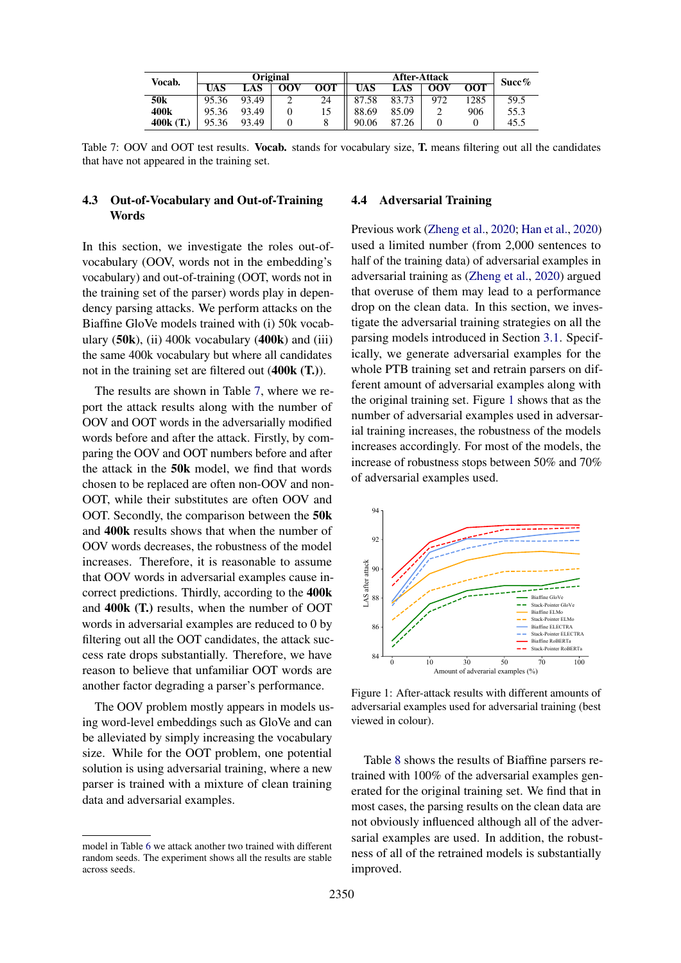<span id="page-6-0"></span>

| Vocab.           |            |       | <b>Original</b> |            | <b>After-Attack</b> |       |                   | Succ%            |      |
|------------------|------------|-------|-----------------|------------|---------------------|-------|-------------------|------------------|------|
|                  | <b>UAS</b> | LAS   | <b>OOV</b>      | <b>OOT</b> | UAS                 | LAS   | $\overline{O}$ OV | $\overline{OOT}$ |      |
| 50 <sub>k</sub>  | 95.36      | 93.49 | ∸               | 24         | 87.58               | 83.73 | 972               | '285             | 59.5 |
| 400 <sub>k</sub> | 95.36      | 93.49 |                 | 15         | 88.69               | 85.09 |                   | 906              | 55.3 |
| 400k(T.)         | 95.36      | 93.49 |                 |            | 90.06               | 87.26 |                   |                  | 45.5 |

Table 7: OOV and OOT test results. **Vocab.** stands for vocabulary size, **T**, means filtering out all the candidates that have not appeared in the training set.

# 4.3 Out-of-Vocabulary and Out-of-Training **Words**

In this section, we investigate the roles out-ofvocabulary (OOV, words not in the embedding's vocabulary) and out-of-training (OOT, words not in the training set of the parser) words play in dependency parsing attacks. We perform attacks on the Biaffine GloVe models trained with (i) 50k vocabulary  $(50k)$ , (ii) 400k vocabulary  $(400k)$  and (iii) the same 400k vocabulary but where all candidates not in the training set are filtered out (400k (T.)).

The results are shown in Table [7,](#page-6-0) where we report the attack results along with the number of OOV and OOT words in the adversarially modified words before and after the attack. Firstly, by comparing the OOV and OOT numbers before and after the attack in the 50k model, we find that words chosen to be replaced are often non-OOV and non-OOT, while their substitutes are often OOV and OOT. Secondly, the comparison between the 50k and 400k results shows that when the number of OOV words decreases, the robustness of the model increases. Therefore, it is reasonable to assume that OOV words in adversarial examples cause incorrect predictions. Thirdly, according to the 400k and 400k (T.) results, when the number of OOT words in adversarial examples are reduced to 0 by filtering out all the OOT candidates, the attack success rate drops substantially. Therefore, we have reason to believe that unfamiliar OOT words are another factor degrading a parser's performance.

The OOV problem mostly appears in models using word-level embeddings such as GloVe and can be alleviated by simply increasing the vocabulary size. While for the OOT problem, one potential solution is using adversarial training, where a new parser is trained with a mixture of clean training data and adversarial examples.

#### 4.4 Adversarial Training

Previous work [\(Zheng et al.,](#page-10-0) [2020;](#page-10-0) [Han et al.,](#page-9-4) [2020\)](#page-9-4) used a limited number (from 2,000 sentences to half of the training data) of adversarial examples in adversarial training as [\(Zheng et al.,](#page-10-0) [2020\)](#page-10-0) argued that overuse of them may lead to a performance drop on the clean data. In this section, we investigate the adversarial training strategies on all the parsing models introduced in Section [3.1.](#page-3-4) Specifically, we generate adversarial examples for the whole PTB training set and retrain parsers on different amount of adversarial examples along with the original training set. Figure [1](#page-6-1) shows that as the number of adversarial examples used in adversarial training increases, the robustness of the models increases accordingly. For most of the models, the increase of robustness stops between 50% and 70% of adversarial examples used.

<span id="page-6-1"></span>

Figure 1: After-attack results with different amounts of adversarial examples used for adversarial training (best viewed in colour).

Table [8](#page-7-0) shows the results of Biaffine parsers retrained with 100% of the adversarial examples generated for the original training set. We find that in most cases, the parsing results on the clean data are not obviously influenced although all of the adversarial examples are used. In addition, the robustness of all of the retrained models is substantially improved.

model in Table [6](#page-5-3) we attack another two trained with different random seeds. The experiment shows all the results are stable across seeds.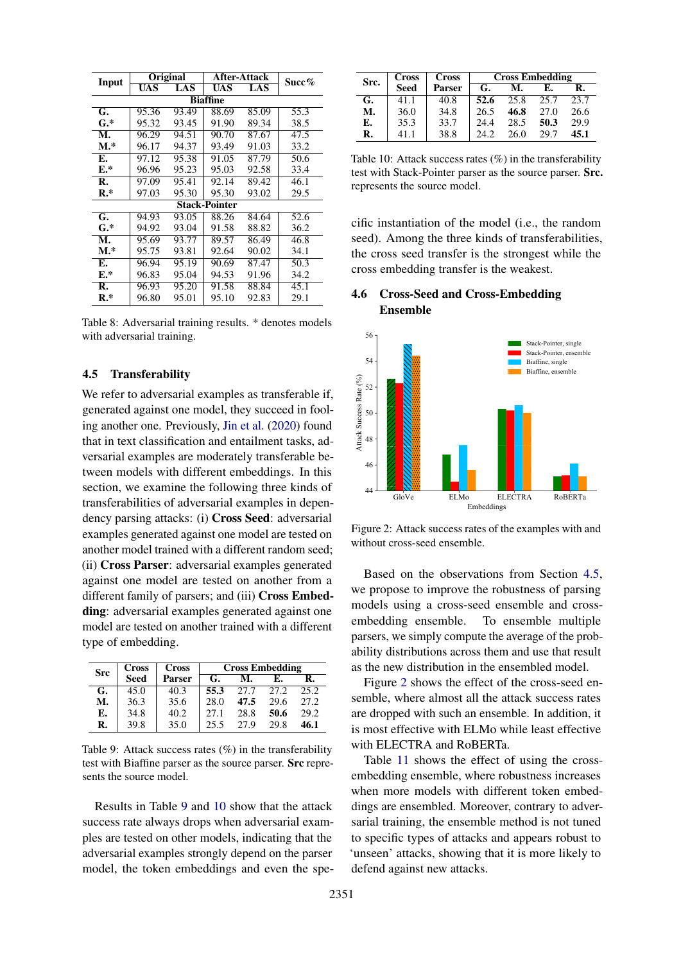<span id="page-7-0"></span>

|                 |       | Original | After-Attack         | Succ% |      |  |  |  |  |
|-----------------|-------|----------|----------------------|-------|------|--|--|--|--|
| Input           | UAS   | LAS      | UAS                  | LAS   |      |  |  |  |  |
| <b>Biaffine</b> |       |          |                      |       |      |  |  |  |  |
| G.              | 95.36 | 93.49    | 88.69                | 85.09 | 55.3 |  |  |  |  |
| $\mathbf{G}^*$  | 95.32 | 93.45    | 91.90                | 89.34 | 38.5 |  |  |  |  |
| M.              | 96.29 | 94.51    | 90.70                | 87.67 | 47.5 |  |  |  |  |
| $M.*$           | 96.17 | 94.37    | 93.49                | 91.03 | 33.2 |  |  |  |  |
| Е.              | 97.12 | 95.38    | 91.05                | 87.79 | 50.6 |  |  |  |  |
| E.*             | 96.96 | 95.23    | 95.03                | 92.58 | 33.4 |  |  |  |  |
| R.              | 97.09 | 95.41    | 92.14                | 89.42 | 46.1 |  |  |  |  |
| $R.*$           | 97.03 | 95.30    | 95.30                | 93.02 | 29.5 |  |  |  |  |
|                 |       |          | <b>Stack-Pointer</b> |       |      |  |  |  |  |
| G.              | 94.93 | 93.05    | 88.26                | 84.64 | 52.6 |  |  |  |  |
| $\mathbf{G}^*$  | 94.92 | 93.04    | 91.58                | 88.82 | 36.2 |  |  |  |  |
| М.              | 95.69 | 93.77    | 89.57                | 86.49 | 46.8 |  |  |  |  |
| $M.*$           | 95.75 | 93.81    | 92.64                | 90.02 | 34.1 |  |  |  |  |
| Е.              | 96.94 | 95.19    | 90.69                | 87.47 | 50.3 |  |  |  |  |
| E.*             | 96.83 | 95.04    | 94.53                | 91.96 | 34.2 |  |  |  |  |
| R.              | 96.93 | 95.20    | 91.58                | 88.84 | 45.1 |  |  |  |  |
| $R.*$           | 96.80 | 95.01    | 95.10                | 92.83 | 29.1 |  |  |  |  |

Table 8: Adversarial training results. \* denotes models with adversarial training.

### <span id="page-7-3"></span>4.5 Transferability

We refer to adversarial examples as transferable if, generated against one model, they succeed in fooling another one. Previously, [Jin et al.](#page-9-3) [\(2020\)](#page-9-3) found that in text classification and entailment tasks, adversarial examples are moderately transferable between models with different embeddings. In this section, we examine the following three kinds of transferabilities of adversarial examples in dependency parsing attacks: (i) Cross Seed: adversarial examples generated against one model are tested on another model trained with a different random seed; (ii) Cross Parser: adversarial examples generated against one model are tested on another from a different family of parsers; and (iii) Cross Embedding: adversarial examples generated against one model are tested on another trained with a different type of embedding.

<span id="page-7-1"></span>

| <b>Src</b> | <b>Cross</b> | <b>Cross</b>  | <b>Cross Embedding</b> |      |      |      |
|------------|--------------|---------------|------------------------|------|------|------|
|            | <b>Seed</b>  | <b>Parser</b> | G.                     | M.   | E.   | R.   |
| G.         | 45.0         | 40.3          | 55.3                   | 27.7 | 27.2 | 25.2 |
| М.         | 36.3         | 35.6          | 28.0                   | 47.5 | 29.6 | 27.2 |
| E.         | 34.8         | 40.2          | 27.1                   | 28.8 | 50.6 | 29.2 |
| R.         | 39.8         | 35.0          | 25.5                   | 27.9 | 29.8 | 46.1 |

Table 9: Attack success rates  $(\%)$  in the transferability test with Biaffine parser as the source parser. Src represents the source model.

Results in Table [9](#page-7-1) and [10](#page-7-2) show that the attack success rate always drops when adversarial examples are tested on other models, indicating that the adversarial examples strongly depend on the parser model, the token embeddings and even the spe-

<span id="page-7-2"></span>

| Src. | <b>Cross</b> | <b>Cross</b>  | <b>Cross Embedding</b> |      |      |      |
|------|--------------|---------------|------------------------|------|------|------|
|      | <b>Seed</b>  | <b>Parser</b> | G.                     | M.   | E.   | R.   |
| G.   | 41.1         | 40.8          | 52.6                   | 25.8 | 25.7 | 23.7 |
| M.   | 36.0         | 34.8          | 26.5                   | 46.8 | 27.0 | 26.6 |
| Е.   | 35.3         | 33.7          | 24.4                   | 28.5 | 50.3 | 29.9 |
| R.   | 41.1         | 38.8          | 24.2                   | 26.0 | 29.7 | 45.1 |

Table 10: Attack success rates  $(\%)$  in the transferability test with Stack-Pointer parser as the source parser. Src. represents the source model.

cific instantiation of the model (i.e., the random seed). Among the three kinds of transferabilities, the cross seed transfer is the strongest while the cross embedding transfer is the weakest.

### 4.6 Cross-Seed and Cross-Embedding Ensemble

<span id="page-7-4"></span>

Figure 2: Attack success rates of the examples with and without cross-seed ensemble.

Based on the observations from Section [4.5,](#page-7-3) we propose to improve the robustness of parsing models using a cross-seed ensemble and crossembedding ensemble. To ensemble multiple parsers, we simply compute the average of the probability distributions across them and use that result as the new distribution in the ensembled model.

Figure [2](#page-7-4) shows the effect of the cross-seed ensemble, where almost all the attack success rates are dropped with such an ensemble. In addition, it is most effective with ELMo while least effective with ELECTRA and RoBERTa.

Table [11](#page-8-6) shows the effect of using the crossembedding ensemble, where robustness increases when more models with different token embeddings are ensembled. Moreover, contrary to adversarial training, the ensemble method is not tuned to specific types of attacks and appears robust to 'unseen' attacks, showing that it is more likely to defend against new attacks.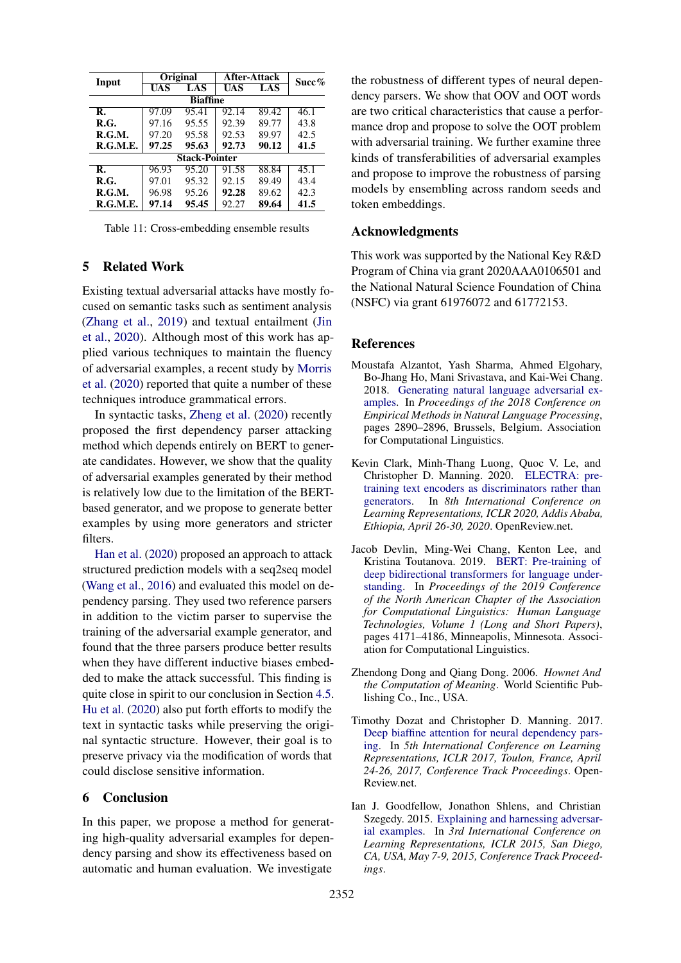<span id="page-8-6"></span>

| Input           | <b>Original</b> |                      | After-Attack | $Succ\%$ |      |  |  |  |  |
|-----------------|-----------------|----------------------|--------------|----------|------|--|--|--|--|
|                 | UAS             | LAS                  | UAS          | LAS      |      |  |  |  |  |
| <b>Biaffine</b> |                 |                      |              |          |      |  |  |  |  |
| R.              | 97.09           | 95.41                | 92.14        | 89.42    | 46.1 |  |  |  |  |
| R.G.            | 97.16           | 95.55                | 92.39        | 89.77    | 43.8 |  |  |  |  |
| R.G.M.          | 97.20           | 95.58                | 92.53        | 89.97    | 42.5 |  |  |  |  |
| R.G.M.E.        | 97.25           | 95.63                | 92.73        | 90.12    | 41.5 |  |  |  |  |
|                 |                 | <b>Stack-Pointer</b> |              |          |      |  |  |  |  |
| R.              | 96.93           | 95.20                | 91.58        | 88.84    | 45.1 |  |  |  |  |
| R.G.            | 97.01           | 95.32                | 92.15        | 89.49    | 43.4 |  |  |  |  |
| R.G.M.          | 96.98           | 95.26                | 92.28        | 89.62    | 42.3 |  |  |  |  |
| R.G.M.E.        | 97.14           | 95.45                | 92.27        | 89.64    | 41.5 |  |  |  |  |

Table 11: Cross-embedding ensemble results

#### 5 Related Work

Existing textual adversarial attacks have mostly focused on semantic tasks such as sentiment analysis [\(Zhang et al.,](#page-9-2) [2019\)](#page-9-2) and textual entailment [\(Jin](#page-9-3) [et al.,](#page-9-3) [2020\)](#page-9-3). Although most of this work has applied various techniques to maintain the fluency of adversarial examples, a recent study by [Morris](#page-9-1) [et al.](#page-9-1) [\(2020\)](#page-9-1) reported that quite a number of these techniques introduce grammatical errors.

In syntactic tasks, [Zheng et al.](#page-10-0) [\(2020\)](#page-10-0) recently proposed the first dependency parser attacking method which depends entirely on BERT to generate candidates. However, we show that the quality of adversarial examples generated by their method is relatively low due to the limitation of the BERTbased generator, and we propose to generate better examples by using more generators and stricter filters.

[Han et al.](#page-9-4) [\(2020\)](#page-9-4) proposed an approach to attack structured prediction models with a seq2seq model [\(Wang et al.,](#page-9-15) [2016\)](#page-9-15) and evaluated this model on dependency parsing. They used two reference parsers in addition to the victim parser to supervise the training of the adversarial example generator, and found that the three parsers produce better results when they have different inductive biases embedded to make the attack successful. This finding is quite close in spirit to our conclusion in Section [4.5.](#page-7-3) [Hu et al.](#page-9-16) [\(2020\)](#page-9-16) also put forth efforts to modify the text in syntactic tasks while preserving the original syntactic structure. However, their goal is to preserve privacy via the modification of words that could disclose sensitive information.

#### 6 Conclusion

In this paper, we propose a method for generating high-quality adversarial examples for dependency parsing and show its effectiveness based on automatic and human evaluation. We investigate

the robustness of different types of neural dependency parsers. We show that OOV and OOT words are two critical characteristics that cause a performance drop and propose to solve the OOT problem with adversarial training. We further examine three kinds of transferabilities of adversarial examples and propose to improve the robustness of parsing models by ensembling across random seeds and token embeddings.

### Acknowledgments

This work was supported by the National Key R&D Program of China via grant 2020AAA0106501 and the National Natural Science Foundation of China (NSFC) via grant 61976072 and 61772153.

### References

- <span id="page-8-2"></span>Moustafa Alzantot, Yash Sharma, Ahmed Elgohary, Bo-Jhang Ho, Mani Srivastava, and Kai-Wei Chang. 2018. [Generating natural language adversarial ex](https://doi.org/10.18653/v1/D18-1316)[amples.](https://doi.org/10.18653/v1/D18-1316) In *Proceedings of the 2018 Conference on Empirical Methods in Natural Language Processing*, pages 2890–2896, Brussels, Belgium. Association for Computational Linguistics.
- <span id="page-8-5"></span>Kevin Clark, Minh-Thang Luong, Quoc V. Le, and Christopher D. Manning. 2020. [ELECTRA: pre](https://openreview.net/forum?id=r1xMH1BtvB)[training text encoders as discriminators rather than](https://openreview.net/forum?id=r1xMH1BtvB) [generators.](https://openreview.net/forum?id=r1xMH1BtvB) In *8th International Conference on Learning Representations, ICLR 2020, Addis Ababa, Ethiopia, April 26-30, 2020*. OpenReview.net.
- <span id="page-8-0"></span>Jacob Devlin, Ming-Wei Chang, Kenton Lee, and Kristina Toutanova. 2019. [BERT: Pre-training of](https://doi.org/10.18653/v1/N19-1423) [deep bidirectional transformers for language under](https://doi.org/10.18653/v1/N19-1423)[standing.](https://doi.org/10.18653/v1/N19-1423) In *Proceedings of the 2019 Conference of the North American Chapter of the Association for Computational Linguistics: Human Language Technologies, Volume 1 (Long and Short Papers)*, pages 4171–4186, Minneapolis, Minnesota. Association for Computational Linguistics.
- <span id="page-8-3"></span>Zhendong Dong and Qiang Dong. 2006. *Hownet And the Computation of Meaning*. World Scientific Publishing Co., Inc., USA.
- <span id="page-8-4"></span>Timothy Dozat and Christopher D. Manning. 2017. [Deep biaffine attention for neural dependency pars](https://openreview.net/forum?id=Hk95PK9le)[ing.](https://openreview.net/forum?id=Hk95PK9le) In *5th International Conference on Learning Representations, ICLR 2017, Toulon, France, April 24-26, 2017, Conference Track Proceedings*. Open-Review.net.
- <span id="page-8-1"></span>Ian J. Goodfellow, Jonathon Shlens, and Christian Szegedy. 2015. [Explaining and harnessing adversar](http://arxiv.org/abs/1412.6572)[ial examples.](http://arxiv.org/abs/1412.6572) In *3rd International Conference on Learning Representations, ICLR 2015, San Diego, CA, USA, May 7-9, 2015, Conference Track Proceedings*.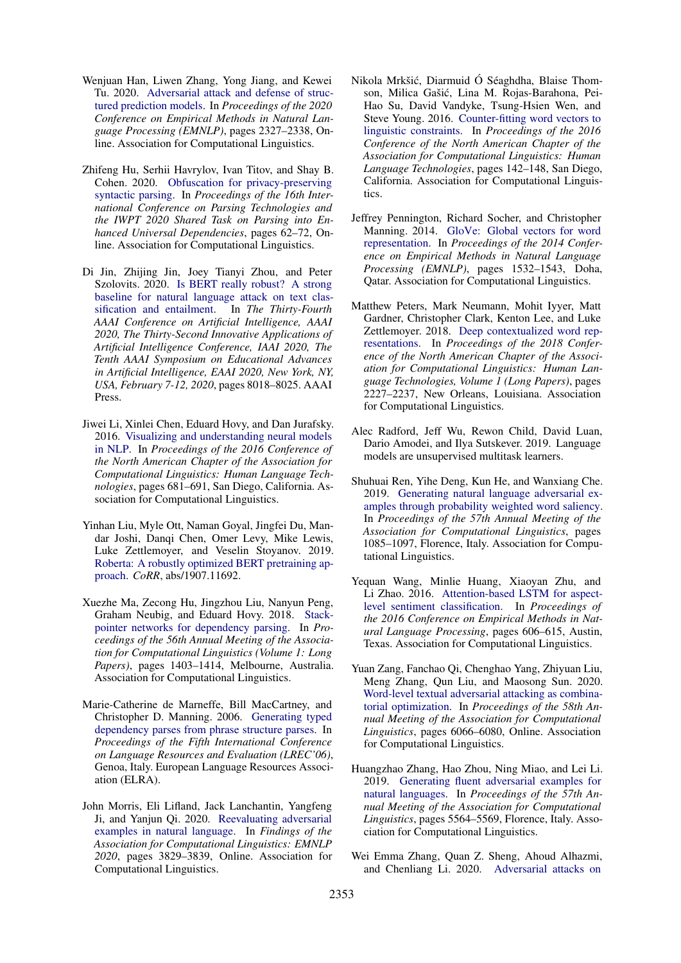- <span id="page-9-4"></span>Wenjuan Han, Liwen Zhang, Yong Jiang, and Kewei Tu. 2020. [Adversarial attack and defense of struc](https://doi.org/10.18653/v1/2020.emnlp-main.182)[tured prediction models.](https://doi.org/10.18653/v1/2020.emnlp-main.182) In *Proceedings of the 2020 Conference on Empirical Methods in Natural Language Processing (EMNLP)*, pages 2327–2338, Online. Association for Computational Linguistics.
- <span id="page-9-16"></span>Zhifeng Hu, Serhii Havrylov, Ivan Titov, and Shay B. Cohen. 2020. [Obfuscation for privacy-preserving](https://doi.org/10.18653/v1/2020.iwpt-1.7) [syntactic parsing.](https://doi.org/10.18653/v1/2020.iwpt-1.7) In *Proceedings of the 16th International Conference on Parsing Technologies and the IWPT 2020 Shared Task on Parsing into Enhanced Universal Dependencies*, pages 62–72, Online. Association for Computational Linguistics.
- <span id="page-9-3"></span>Di Jin, Zhijing Jin, Joey Tianyi Zhou, and Peter Szolovits. 2020. [Is BERT really robust? A strong](https://aaai.org/ojs/index.php/AAAI/article/view/6311) [baseline for natural language attack on text clas](https://aaai.org/ojs/index.php/AAAI/article/view/6311)[sification and entailment.](https://aaai.org/ojs/index.php/AAAI/article/view/6311) In *The Thirty-Fourth AAAI Conference on Artificial Intelligence, AAAI 2020, The Thirty-Second Innovative Applications of Artificial Intelligence Conference, IAAI 2020, The Tenth AAAI Symposium on Educational Advances in Artificial Intelligence, EAAI 2020, New York, NY, USA, February 7-12, 2020*, pages 8018–8025. AAAI Press.
- <span id="page-9-5"></span>Jiwei Li, Xinlei Chen, Eduard Hovy, and Dan Jurafsky. 2016. [Visualizing and understanding neural models](https://doi.org/10.18653/v1/N16-1082) [in NLP.](https://doi.org/10.18653/v1/N16-1082) In *Proceedings of the 2016 Conference of the North American Chapter of the Association for Computational Linguistics: Human Language Technologies*, pages 681–691, San Diego, California. Association for Computational Linguistics.
- <span id="page-9-12"></span>Yinhan Liu, Myle Ott, Naman Goyal, Jingfei Du, Mandar Joshi, Danqi Chen, Omer Levy, Mike Lewis, Luke Zettlemoyer, and Veselin Stoyanov. 2019. [Roberta: A robustly optimized BERT pretraining ap](http://arxiv.org/abs/1907.11692)[proach.](http://arxiv.org/abs/1907.11692) *CoRR*, abs/1907.11692.
- <span id="page-9-10"></span>Xuezhe Ma, Zecong Hu, Jingzhou Liu, Nanyun Peng, Graham Neubig, and Eduard Hovy. 2018. [Stack](https://doi.org/10.18653/v1/P18-1130)[pointer networks for dependency parsing.](https://doi.org/10.18653/v1/P18-1130) In *Proceedings of the 56th Annual Meeting of the Association for Computational Linguistics (Volume 1: Long Papers)*, pages 1403–1414, Melbourne, Australia. Association for Computational Linguistics.
- <span id="page-9-14"></span>Marie-Catherine de Marneffe, Bill MacCartney, and Christopher D. Manning. 2006. [Generating typed](http://www.lrec-conf.org/proceedings/lrec2006/pdf/440_pdf.pdf) [dependency parses from phrase structure parses.](http://www.lrec-conf.org/proceedings/lrec2006/pdf/440_pdf.pdf) In *Proceedings of the Fifth International Conference on Language Resources and Evaluation (LREC'06)*, Genoa, Italy. European Language Resources Association (ELRA).
- <span id="page-9-1"></span>John Morris, Eli Lifland, Jack Lanchantin, Yangfeng Ji, and Yanjun Qi. 2020. [Reevaluating adversarial](https://doi.org/10.18653/v1/2020.findings-emnlp.341) [examples in natural language.](https://doi.org/10.18653/v1/2020.findings-emnlp.341) In *Findings of the Association for Computational Linguistics: EMNLP 2020*, pages 3829–3839, Online. Association for Computational Linguistics.
- <span id="page-9-7"></span>Nikola Mrkšić, Diarmuid Ó Séaghdha, Blaise Thomson, Milica Gašić, Lina M. Rojas-Barahona, Pei-Hao Su, David Vandyke, Tsung-Hsien Wen, and Steve Young. 2016. [Counter-fitting word vectors to](https://doi.org/10.18653/v1/N16-1018) [linguistic constraints.](https://doi.org/10.18653/v1/N16-1018) In *Proceedings of the 2016 Conference of the North American Chapter of the Association for Computational Linguistics: Human Language Technologies*, pages 142–148, San Diego, California. Association for Computational Linguistics.
- <span id="page-9-11"></span>Jeffrey Pennington, Richard Socher, and Christopher Manning. 2014. [GloVe: Global vectors for word](https://doi.org/10.3115/v1/D14-1162) [representation.](https://doi.org/10.3115/v1/D14-1162) In *Proceedings of the 2014 Conference on Empirical Methods in Natural Language Processing (EMNLP)*, pages 1532–1543, Doha, Qatar. Association for Computational Linguistics.
- <span id="page-9-13"></span>Matthew Peters, Mark Neumann, Mohit Iyyer, Matt Gardner, Christopher Clark, Kenton Lee, and Luke Zettlemoyer. 2018. [Deep contextualized word rep](https://doi.org/10.18653/v1/N18-1202)[resentations.](https://doi.org/10.18653/v1/N18-1202) In *Proceedings of the 2018 Conference of the North American Chapter of the Association for Computational Linguistics: Human Language Technologies, Volume 1 (Long Papers)*, pages 2227–2237, New Orleans, Louisiana. Association for Computational Linguistics.
- <span id="page-9-9"></span>Alec Radford, Jeff Wu, Rewon Child, David Luan, Dario Amodei, and Ilya Sutskever. 2019. Language models are unsupervised multitask learners.
- <span id="page-9-6"></span>Shuhuai Ren, Yihe Deng, Kun He, and Wanxiang Che. 2019. [Generating natural language adversarial ex](https://doi.org/10.18653/v1/P19-1103)[amples through probability weighted word saliency.](https://doi.org/10.18653/v1/P19-1103) In *Proceedings of the 57th Annual Meeting of the Association for Computational Linguistics*, pages 1085–1097, Florence, Italy. Association for Computational Linguistics.
- <span id="page-9-15"></span>Yequan Wang, Minlie Huang, Xiaoyan Zhu, and Li Zhao. 2016. [Attention-based LSTM for aspect](https://doi.org/10.18653/v1/D16-1058)[level sentiment classification.](https://doi.org/10.18653/v1/D16-1058) In *Proceedings of the 2016 Conference on Empirical Methods in Natural Language Processing*, pages 606–615, Austin, Texas. Association for Computational Linguistics.
- <span id="page-9-8"></span>Yuan Zang, Fanchao Qi, Chenghao Yang, Zhiyuan Liu, Meng Zhang, Qun Liu, and Maosong Sun. 2020. [Word-level textual adversarial attacking as combina](https://doi.org/10.18653/v1/2020.acl-main.540)[torial optimization.](https://doi.org/10.18653/v1/2020.acl-main.540) In *Proceedings of the 58th Annual Meeting of the Association for Computational Linguistics*, pages 6066–6080, Online. Association for Computational Linguistics.
- <span id="page-9-2"></span>Huangzhao Zhang, Hao Zhou, Ning Miao, and Lei Li. 2019. [Generating fluent adversarial examples for](https://doi.org/10.18653/v1/P19-1559) [natural languages.](https://doi.org/10.18653/v1/P19-1559) In *Proceedings of the 57th Annual Meeting of the Association for Computational Linguistics*, pages 5564–5569, Florence, Italy. Association for Computational Linguistics.
- <span id="page-9-0"></span>Wei Emma Zhang, Quan Z. Sheng, Ahoud Alhazmi, and Chenliang Li. 2020. [Adversarial attacks on](https://doi.org/10.1145/3374217)